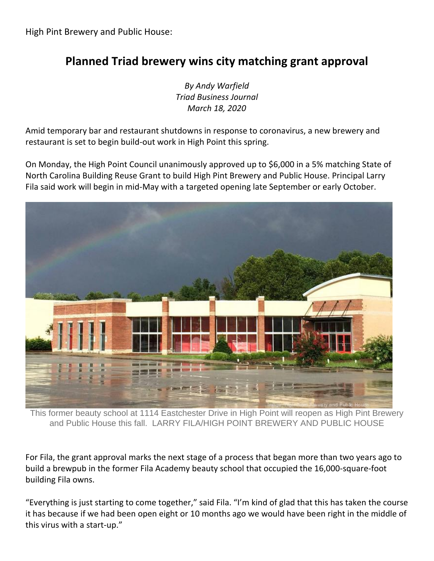## **Planned Triad brewery wins city matching grant approval**

*By Andy Warfield Triad Business Journal March 18, 2020*

Amid temporary bar and restaurant shutdowns in response to coronavirus, a new brewery and restaurant is set to begin build-out work in High Point this spring.

On Monday, the High Point Council unanimously approved up to \$6,000 in a 5% matching State of North Carolina Building Reuse Grant to build High Pint Brewery and Public House. Principal Larry Fila said work will begin in mid-May with a targeted opening late September or early October.



This former beauty school at 1114 Eastchester Drive in High Point will reopen as High Pint Brewery and Public House this fall. LARRY FILA/HIGH POINT BREWERY AND PUBLIC HOUSE

For Fila, the grant approval marks the next stage of a process that began more than two years ago to build a brewpub in the former Fila Academy beauty school that occupied the 16,000-square-foot building Fila owns.

"Everything is just starting to come together," said Fila. "I'm kind of glad that this has taken the course it has because if we had been open eight or 10 months ago we would have been right in the middle of this virus with a start-up."